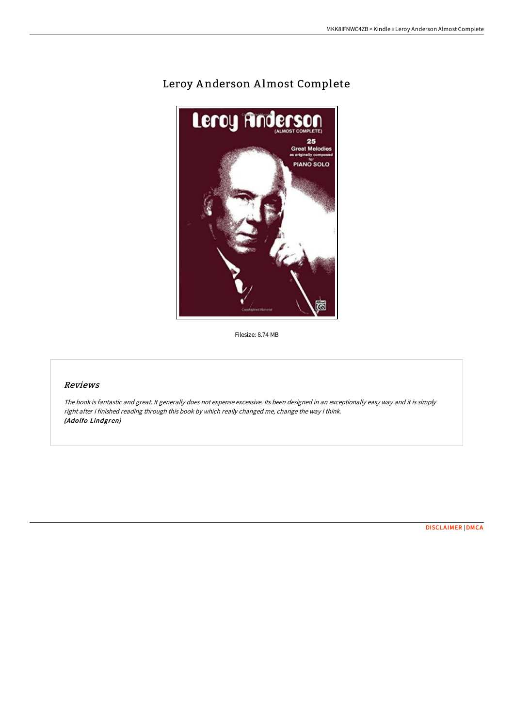# Leroy Anderson Almost Complete



Filesize: 8.74 MB

## Reviews

The book is fantastic and great. It generally does not expense excessive. Its been designed in an exceptionally easy way and it is simply right after i finished reading through this book by which really changed me, change the way i think. (Adolfo Lindgren)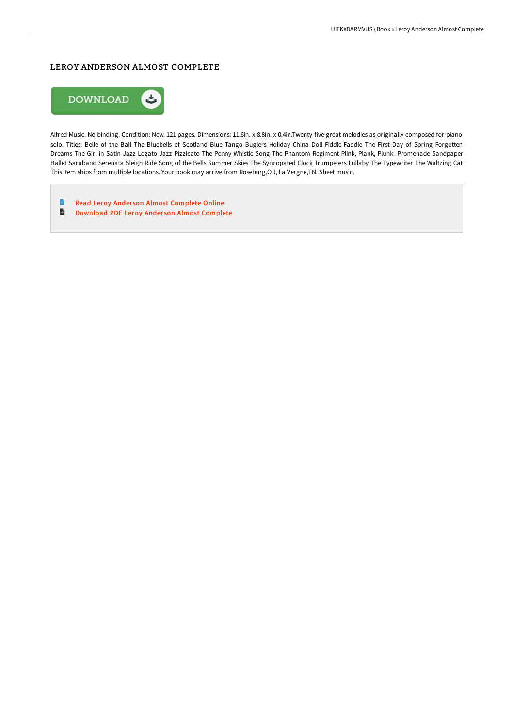## LEROY ANDERSON ALMOST COMPLETE



Alfred Music. No binding. Condition: New. 121 pages. Dimensions: 11.6in. x 8.8in. x 0.4in.Twenty-five great melodies as originally composed for piano solo. Titles: Belle of the Ball The Bluebells of Scotland Blue Tango Buglers Holiday China Doll Fiddle-Faddle The First Day of Spring Forgotten Dreams The Girl in Satin Jazz Legato Jazz Pizzicato The Penny-Whistle Song The Phantom Regiment Plink, Plank, Plunk! Promenade Sandpaper Ballet Saraband Serenata Sleigh Ride Song of the Bells Summer Skies The Syncopated Clock Trumpeters Lullaby The Typewriter The Waltzing Cat This item ships from multiple locations. Your book may arrive from Roseburg,OR, La Vergne,TN. Sheet music.

 $\blacksquare$ Read Leroy Anderson Almost [Complete](http://techno-pub.tech/leroy-anderson-almost-complete.html) Online  $\blacksquare$ [Download](http://techno-pub.tech/leroy-anderson-almost-complete.html) PDF Leroy Anderson Almost Complete